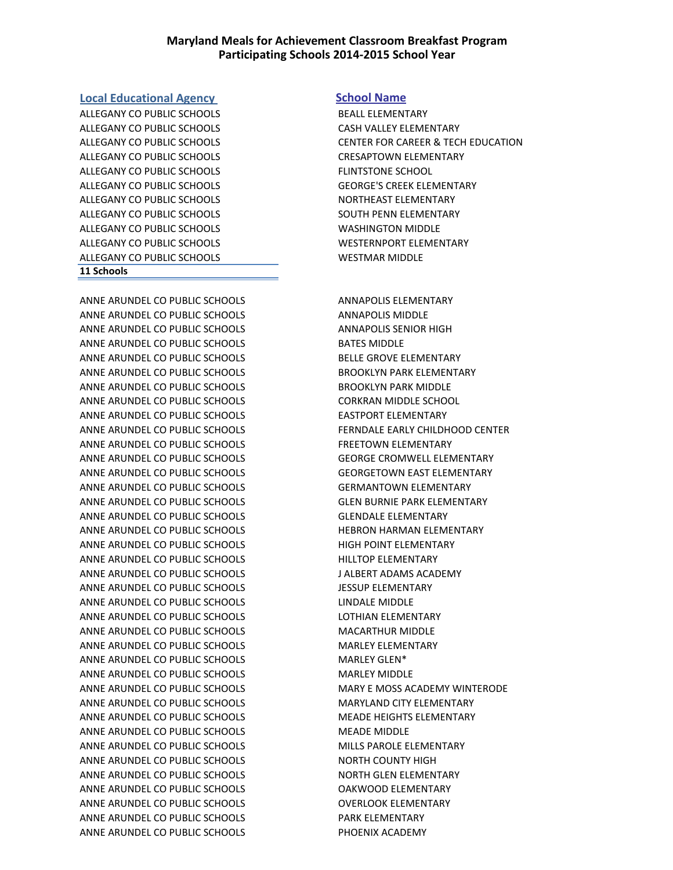# **Maryland Meals for Achievement Classroom Breakfast Program Participating Schools 2014-2015 School Year**

### **Local Educational Agency School Name**

ALLEGANY CO PUBLIC SCHOOLS BEALL ELEMENTARY ALLEGANY CO PUBLIC SCHOOLS CASH VALLEY ELEMENTARY ALLEGANY CO PUBLIC SCHOOLS CRESAPTOWN ELEMENTARY ALLEGANY CO PUBLIC SCHOOLS FLINTSTONE SCHOOL ALLEGANY CO PUBLIC SCHOOLS GEORGE'S CREEK ELEMENTARY ALLEGANY CO PUBLIC SCHOOLS NORTHEAST ELEMENTARY ALLEGANY CO PUBLIC SCHOOLS SOUTH PENN ELEMENTARY ALLEGANY CO PUBLIC SCHOOLS WASHINGTON MIDDLE ALLEGANY CO PUBLIC SCHOOLS WESTERNPORT ELEMENTARY ALLEGANY CO PUBLIC SCHOOLS WESTMAR MIDDLE **11 Schools**

ANNE ARUNDEL CO PUBLIC SCHOOLS ANNAPOLIS ELEMENTARY ANNE ARUNDEL CO PUBLIC SCHOOLS ANNAPOLIS MIDDLE ANNE ARUNDEL CO PUBLIC SCHOOLS ANNAPOLIS SENIOR HIGH ANNE ARUNDEL CO PUBLIC SCHOOLS BATES MIDDLE ANNE ARUNDEL CO PUBLIC SCHOOLS BELLE GROVE ELEMENTARY ANNE ARUNDEL CO PUBLIC SCHOOLS BROOKLYN PARK ELEMENTARY ANNE ARUNDEL CO PUBLIC SCHOOLS BROOKLYN PARK MIDDLE ANNE ARUNDEL CO PUBLIC SCHOOLS CORKRAN MIDDLE SCHOOL ANNE ARUNDEL CO PUBLIC SCHOOLS EASTPORT ELEMENTARY ANNE ARUNDEL CO PUBLIC SCHOOLS FERNDALE EARLY CHILDHOOD CENTER ANNE ARUNDEL CO PUBLIC SCHOOLS FREETOWN ELEMENTARY ANNE ARUNDEL CO PUBLIC SCHOOLS GEORGE CROMWELL ELEMENTARY ANNE ARUNDEL CO PUBLIC SCHOOLS GEORGETOWN EAST ELEMENTARY ANNE ARUNDEL CO PUBLIC SCHOOLS GERMANTOWN ELEMENTARY ANNE ARUNDEL CO PUBLIC SCHOOLS GLEN BURNIE PARK ELEMENTARY ANNE ARUNDEL CO PUBLIC SCHOOLS GLENDALE ELEMENTARY ANNE ARUNDEL CO PUBLIC SCHOOLS HEBRON HARMAN ELEMENTARY ANNE ARUNDEL CO PUBLIC SCHOOLS HIGH POINT ELEMENTARY ANNE ARUNDEL CO PUBLIC SCHOOLS FOR THILLTOP ELEMENTARY ANNE ARUNDEL CO PUBLIC SCHOOLS J ALBERT ADAMS ACADEMY ANNE ARUNDEL CO PUBLIC SCHOOLS JESSUP ELEMENTARY ANNE ARUNDEL CO PUBLIC SCHOOLS LINDALE MIDDLE ANNE ARUNDEL CO PUBLIC SCHOOLS LOTHIAN ELEMENTARY ANNE ARUNDEL CO PUBLIC SCHOOLS MACARTHUR MIDDLE ANNE ARUNDEL CO PUBLIC SCHOOLS MARLEY ELEMENTARY ANNE ARUNDEL CO PUBLIC SCHOOLS MARLEY GLEN\* ANNE ARUNDEL CO PUBLIC SCHOOLS MARLEY MIDDLE ANNE ARUNDEL CO PUBLIC SCHOOLS MARY E MOSS ACADEMY WINTERODE ANNE ARUNDEL CO PUBLIC SCHOOLS MARYLAND CITY ELEMENTARY ANNE ARUNDEL CO PUBLIC SCHOOLS MEADE HEIGHTS ELEMENTARY ANNE ARUNDEL CO PUBLIC SCHOOLS MEADE MIDDLE ANNE ARUNDEL CO PUBLIC SCHOOLS MILLS PAROLE ELEMENTARY ANNE ARUNDEL CO PUBLIC SCHOOLS NORTH COUNTY HIGH ANNE ARUNDEL CO PUBLIC SCHOOLS NORTH GLEN ELEMENTARY ANNE ARUNDEL CO PUBLIC SCHOOLS OAKWOOD ELEMENTARY ANNE ARUNDEL CO PUBLIC SCHOOLS OVERLOOK ELEMENTARY ANNE ARUNDEL CO PUBLIC SCHOOLS PARK ELEMENTARY ANNE ARUNDEL CO PUBLIC SCHOOLS FINDENIX ACADEMY

ALLEGANY CO PUBLIC SCHOOLS CENTER FOR CAREER & TECH EDUCATION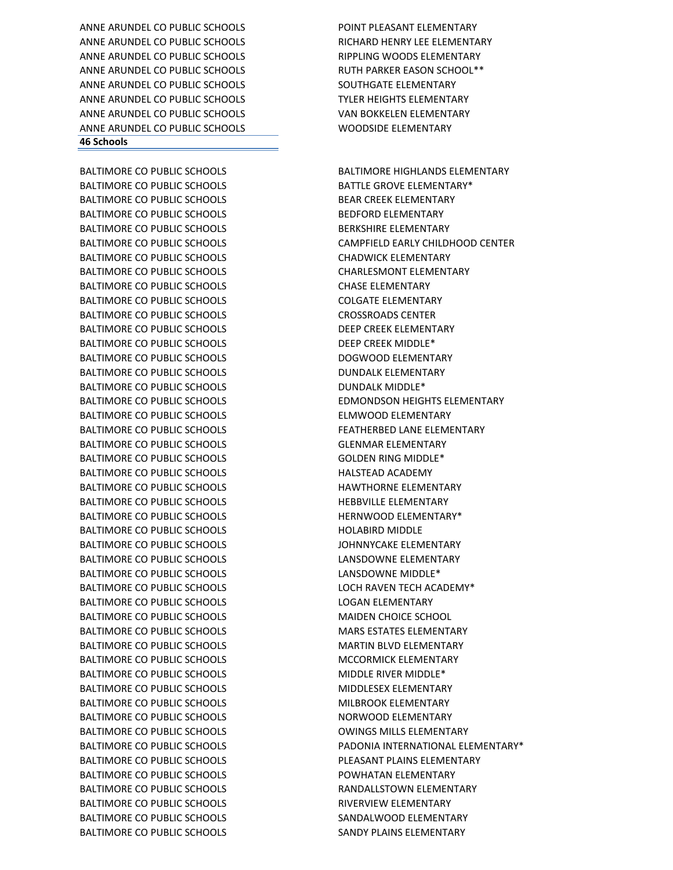ANNE ARUNDEL CO PUBLIC SCHOOLS POINT PLEASANT ELEMENTARY ANNE ARUNDEL CO PUBLIC SCHOOLS RICHARD HENRY LEE ELEMENTARY ANNE ARUNDEL CO PUBLIC SCHOOLS RIPPLING WOODS ELEMENTARY ANNE ARUNDEL CO PUBLIC SCHOOLS RUTH PARKER EASON SCHOOL\*\* ANNE ARUNDEL CO PUBLIC SCHOOLS SOUTHGATE ELEMENTARY ANNE ARUNDEL CO PUBLIC SCHOOLS TYLER HEIGHTS ELEMENTARY ANNE ARUNDEL CO PUBLIC SCHOOLS VAN BOKKELEN ELEMENTARY ANNE ARUNDEL CO PUBLIC SCHOOLS WOODSIDE ELEMENTARY **46 Schools**

BALTIMORE CO PUBLIC SCHOOLS **EXECUTE A BALTIMORE HIGHLANDS ELEMENTARY** BALTIMORE CO PUBLIC SCHOOLS BATTLE GROVE ELEMENTARY\* BALTIMORE CO PUBLIC SCHOOLS BEAR CREEK ELEMENTARY BALTIMORE CO PUBLIC SCHOOLS BEDFORD ELEMENTARY BALTIMORE CO PUBLIC SCHOOLS **EXAMPLE SEE AND A BERKSHIRE ELEMENTARY** BALTIMORE CO PUBLIC SCHOOLS CAMPFIELD EARLY CHILDHOOD CENTER BALTIMORE CO PUBLIC SCHOOLS **CHADWICK ELEMENTARY** BALTIMORE CO PUBLIC SCHOOLS CHARLESMONT ELEMENTARY BALTIMORE CO PUBLIC SCHOOLS CHASE ELEMENTARY BALTIMORE CO PUBLIC SCHOOLS COLGATE ELEMENTARY BALTIMORE CO PUBLIC SCHOOLS CROSSROADS CENTER BALTIMORE CO PUBLIC SCHOOLS DEEP CREEK ELEMENTARY BALTIMORE CO PUBLIC SCHOOLS DEEP CREEK MIDDLE\* BALTIMORE CO PUBLIC SCHOOLS **EXAMPLE 20 BOGWOOD ELEMENTARY** BALTIMORE CO PUBLIC SCHOOLS **EXECUTE A SUMPLIME DUNDALK ELEMENTARY** BALTIMORE CO PUBLIC SCHOOLS DUNDALK MIDDLE\* BALTIMORE CO PUBLIC SCHOOLS EDMONDSON HEIGHTS ELEMENTARY BALTIMORE CO PUBLIC SCHOOLS ELMWOOD ELEMENTARY BALTIMORE CO PUBLIC SCHOOLS FEATHERBED LANE ELEMENTARY BALTIMORE CO PUBLIC SCHOOLS GLENMAR ELEMENTARY BALTIMORE CO PUBLIC SCHOOLS GOLDEN RING MIDDLE\* BALTIMORE CO PUBLIC SCHOOLS FOR THE RESERVED BALTIMORE CO PUBLIC SCHOOLS BALTIMORE CO PUBLIC SCHOOLS **ALTIMORY CONTRACT CONTRACT CONTRACT AND ACTE** BALTIMORE CO PUBLIC SCHOOLS THEBBVILLE ELEMENTARY BALTIMORE CO PUBLIC SCHOOLS THERNWOOD ELEMENTARY\* BALTIMORE CO PUBLIC SCHOOLS **EXAMPLE A SCHOOLS** HOLABIRD MIDDLE BALTIMORE CO PUBLIC SCHOOLS **SALTIMORE CO PUBLIC SCHOOLS SALTIMORE** SCHOOLS BALTIMORE CO PUBLIC SCHOOLS EXAMPLE AND LANSDOWNE ELEMENTARY BALTIMORE CO PUBLIC SCHOOLS LANSDOWNE MIDDLE\* BALTIMORE CO PUBLIC SCHOOLS EXAMPLE TO CHI RAVEN TECH ACADEMY\* BALTIMORE CO PUBLIC SCHOOLS 
LOGAN ELEMENTARY BALTIMORE CO PUBLIC SCHOOLS MAIDEN CHOICE SCHOOL BALTIMORE CO PUBLIC SCHOOLS MARS ESTATES ELEMENTARY BALTIMORE CO PUBLIC SCHOOLS MARTIN BLVD ELEMENTARY BALTIMORE CO PUBLIC SCHOOLS MOTHER MCCORMICK ELEMENTARY BALTIMORE CO PUBLIC SCHOOLS MIDDLE RIVER MIDDLE\* BALTIMORE CO PUBLIC SCHOOLS MIDDLESEX ELEMENTARY BALTIMORE CO PUBLIC SCHOOLS **ALTIMORE CO PUBLIC SCHOOLS MILBROOK ELEMENTARY** BALTIMORE CO PUBLIC SCHOOLS NORWOOD ELEMENTARY BALTIMORE CO PUBLIC SCHOOLS **CONTRACT CONTRACT CONTRACT CONTRACT CONTRACT CONTRACT CONTRACT CONTRACT CONTRACT CONTRACT CONTRACT CONTRACT CONTRACT CONTRACT CONTRACT CONTRACT CONTRACT CONTRACT CONTRACT CONTRACT CONTRACT CONT** BALTIMORE CO PUBLIC SCHOOLS PADONIA INTERNATIONAL ELEMENTARY\* BALTIMORE CO PUBLIC SCHOOLS **EXECUTE A SECURITY PLAINS AND RELEMENTARY** BALTIMORE CO PUBLIC SCHOOLS **EXAMPLE A POWHATAN ELEMENTARY** BALTIMORE CO PUBLIC SCHOOLS **RANDALLSTOWN ELEMENTARY** BALTIMORE CO PUBLIC SCHOOLS THE RIVERVIEW ELEMENTARY BALTIMORE CO PUBLIC SCHOOLS SANDALWOOD ELEMENTARY BALTIMORE CO PUBLIC SCHOOLS SANDY PLAINS ELEMENTARY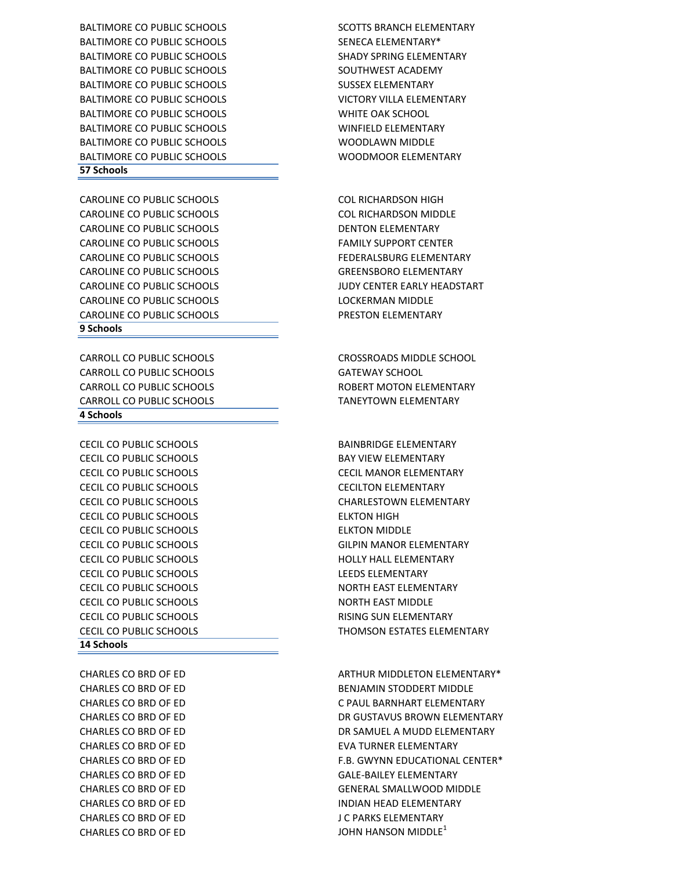CHARLES CO BRD OF ED J C PARKS ELEMENTARY CHARLES CO BRD OF ED **SAULT A SECOND TEAM CHARLES ON BRD** OF ED

### **14 Schools**

CECIL CO PUBLIC SCHOOLS CECILTON ELEMENTARY CECIL CO PUBLIC SCHOOLS ELKTON HIGH CECIL CO PUBLIC SCHOOLS ELKTON MIDDLE CECIL CO PUBLIC SCHOOLS HOLLY HALL ELEMENTARY CECIL CO PUBLIC SCHOOLS LEEDS ELEMENTARY CECIL CO PUBLIC SCHOOLS **NORTH EAST ELEMENTARY** CECIL CO PUBLIC SCHOOLS NORTH EAST MIDDLE CECIL CO PUBLIC SCHOOLS **EXECUTE A RISING SUN ELEMENTARY** 

#### **4 Schools**

CARROLL CO PUBLIC SCHOOLS CROSSROADS MIDDLE SCHOOL CARROLL CO PUBLIC SCHOOLS GATEWAY SCHOOL CARROLL CO PUBLIC SCHOOLS **EXAMPLE 20 INCREASE AND A ROBERT MOTON ELEMENTARY** CARROLL CO PUBLIC SCHOOLS TANEYTOWN ELEMENTARY

CECIL CO PUBLIC SCHOOLS BAINBRIDGE ELEMENTARY

#### **9 Schools**

CAROLINE CO PUBLIC SCHOOLS COL RICHARDSON HIGH CAROLINE CO PUBLIC SCHOOLS COL RICHARDSON MIDDLE CAROLINE CO PUBLIC SCHOOLS **EXECUTE A SECURITY OF A DENTON ELEMENTARY** CAROLINE CO PUBLIC SCHOOLS FAMILY SUPPORT CENTER CAROLINE CO PUBLIC SCHOOLS THE REDERALSBURG ELEMENTARY CAROLINE CO PUBLIC SCHOOLS GREENSBORO ELEMENTARY CAROLINE CO PUBLIC SCHOOLS JUDY CENTER EARLY HEADSTART CAROLINE CO PUBLIC SCHOOLS **LOCKERMAN MIDDLE** CAROLINE CO PUBLIC SCHOOLS PRESTON ELEMENTARY

# BALTIMORE CO PUBLIC SCHOOLS SHADY SHADY SPRING ELEMENTARY BALTIMORE CO PUBLIC SCHOOLS SOUTHWEST ACADEMY BALTIMORE CO PUBLIC SCHOOLS SUSSEX ELEMENTARY BALTIMORE CO PUBLIC SCHOOLS VICTORY VILLA ELEMENTARY BALTIMORE CO PUBLIC SCHOOLS WHITE OAK SCHOOL BALTIMORE CO PUBLIC SCHOOLS WINFIELD ELEMENTARY BALTIMORE CO PUBLIC SCHOOLS WOODLAWN MIDDLE BALTIMORE CO PUBLIC SCHOOLS WOODMOOR ELEMENTARY **57 Schools**

CHARLES CO BRD OF ED ARTHUR MIDDLETON ELEMENTARY\* CHARLES CO BRD OF ED BENJAMIN STODDERT MIDDLE CHARLES CO BRD OF ED C PAUL BARNHART ELEMENTARY CHARLES CO BRD OF ED **DR GUSTAVUS BROWN ELEMENTARY** CHARLES CO BRD OF ED DR SAMUEL A MUDD ELEMENTARY CHARLES CO BRD OF ED
EVA TURNER ELEMENTARY CHARLES CO BRD OF ED F.B. GWYNN EDUCATIONAL CENTER\* CHARLES CO BRD OF ED GALE-BAILEY ELEMENTARY CHARLES CO BRD OF ED GENERAL SMALLWOOD MIDDLE CHARLES CO BRD OF ED **INDIAN HEAD ELEMENTARY** 

CECIL CO PUBLIC SCHOOLS **BAY VIEW ELEMENTARY** CECIL CO PUBLIC SCHOOLS CECIL MANOR ELEMENTARY CECIL CO PUBLIC SCHOOLS CHARLESTOWN ELEMENTARY CECIL CO PUBLIC SCHOOLS GILPIN MANOR ELEMENTARY CECIL CO PUBLIC SCHOOLS THOMSON ESTATES ELEMENTARY

BALTIMORE CO PUBLIC SCHOOLS SCOTTS BRANCH ELEMENTARY BALTIMORE CO PUBLIC SCHOOLS SENECA ELEMENTARY\*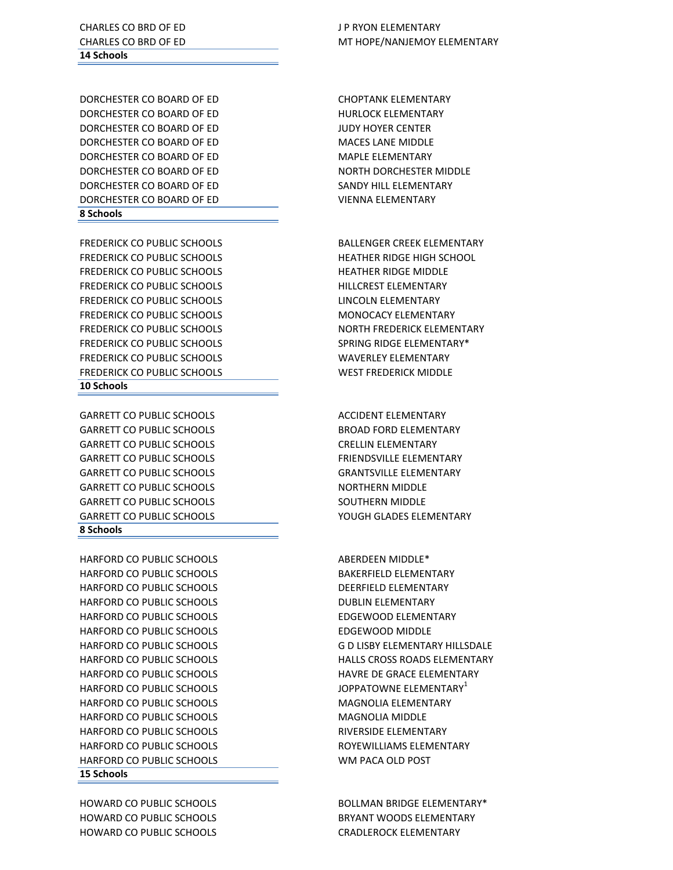HOWARD CO PUBLIC SCHOOLS BRYANT WOODS ELEMENTARY HOWARD CO PUBLIC SCHOOLS CRADLEROCK ELEMENTARY

#### **15 Schools**

HARFORD CO PUBLIC SCHOOLS DEERFIELD ELEMENTARY HARFORD CO PUBLIC SCHOOLS **EXECUTE A SUBLICAL SCHOOLS** DUBLIN ELEMENTARY HARFORD CO PUBLIC SCHOOLS EDGEWOOD ELEMENTARY HARFORD CO PUBLIC SCHOOLS EDGEWOOD MIDDLE HARFORD CO PUBLIC SCHOOLS **A CONSIDER SERVIT CONTRACT SCHOOLS** JOPPATOWNE ELEMENTARY<sup>1</sup> HARFORD CO PUBLIC SCHOOLS MAGNOLIA ELEMENTARY HARFORD CO PUBLIC SCHOOLS MAGNOLIA MIDDLE HARFORD CO PUBLIC SCHOOLS RIVERSIDE ELEMENTARY HARFORD CO PUBLIC SCHOOLS ROYEWILLIAMS ELEMENTARY HARFORD CO PUBLIC SCHOOLS WM PACA OLD POST

#### **8 Schools**

GARRETT CO PUBLIC SCHOOLS ACCIDENT ELEMENTARY GARRETT CO PUBLIC SCHOOLS **BROAD FORD ELEMENTARY** GARRETT CO PUBLIC SCHOOLS CRELLIN ELEMENTARY GARRETT CO PUBLIC SCHOOLS FRIENDSVILLE ELEMENTARY GARRETT CO PUBLIC SCHOOLS GRANTSVILLE ELEMENTARY GARRETT CO PUBLIC SCHOOLS **NORTHERN MIDDLE** GARRETT CO PUBLIC SCHOOLS SOUTHERN MIDDLE GARRETT CO PUBLIC SCHOOLS YOUGH GLADES ELEMENTARY

#### **10 Schools**

FREDERICK CO PUBLIC SCHOOLS HEATHER RIDGE HIGH SCHOOL FREDERICK CO PUBLIC SCHOOLS **HEATHER RIDGE MIDDLE** FREDERICK CO PUBLIC SCHOOLS FREDERICK AND HILLCREST ELEMENTARY FREDERICK CO PUBLIC SCHOOLS **EXAMPLE 20 INCOLA CONTRACT AND ACCOUNT ACCOUNT** ELEMENTARY FREDERICK CO PUBLIC SCHOOLS MONOCACY ELEMENTARY FREDERICK CO PUBLIC SCHOOLS SPRING RIDGE ELEMENTARY\* FREDERICK CO PUBLIC SCHOOLS WAVERLEY ELEMENTARY FREDERICK CO PUBLIC SCHOOLS WEST FREDERICK MIDDLE

#### **8 Schools**

DORCHESTER CO BOARD OF ED HURLOCK ELEMENTARY DORCHESTER CO BOARD OF ED JUDY HOYER CENTER DORCHESTER CO BOARD OF ED MACES LANE MIDDLE DORCHESTER CO BOARD OF ED MAPLE ELEMENTARY DORCHESTER CO BOARD OF ED NORTH DORCHESTER MIDDLE DORCHESTER CO BOARD OF ED SANDY HILL ELEMENTARY DORCHESTER CO BOARD OF ED VIENNA ELEMENTARY

# **14 Schools**

CHARLES CO BRD OF ED JP RYON ELEMENTARY

HOWARD CO PUBLIC SCHOOLS THE BOLLMAN BRIDGE ELEMENTARY\*

HARFORD CO PUBLIC SCHOOLS ABERDEEN MIDDLE\* HARFORD CO PUBLIC SCHOOLS **BAKERFIELD ELEMENTARY** HARFORD CO PUBLIC SCHOOLS G D LISBY ELEMENTARY HILLSDALE HARFORD CO PUBLIC SCHOOLS HALLS CROSS ROADS ELEMENTARY HARFORD CO PUBLIC SCHOOLS HAVRE DE GRACE ELEMENTARY

FREDERICK CO PUBLIC SCHOOLS BALLENGER CREEK ELEMENTARY FREDERICK CO PUBLIC SCHOOLS NORTH FREDERICK ELEMENTARY

DORCHESTER CO BOARD OF ED CHOPTANK ELEMENTARY

CHARLES CO BRD OF ED **MELLES CO BRD OF ED** MT HOPE/NANJEMOY ELEMENTARY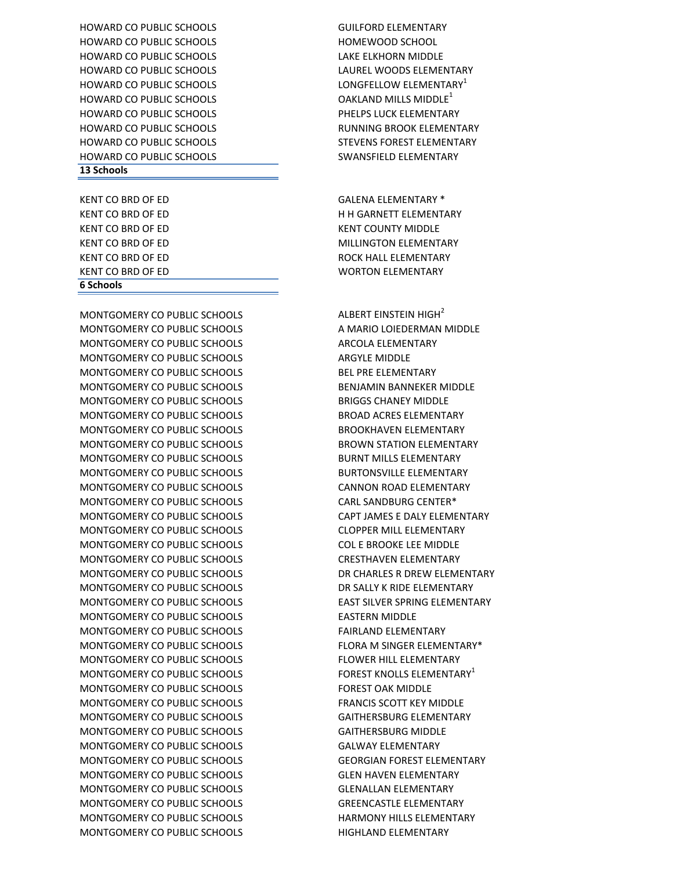MONTGOMERY CO PUBLIC SCHOOLS ALBERT EINSTEIN HIGH<sup>2</sup> MONTGOMERY CO PUBLIC SCHOOLS A MARIO LOIEDERMAN MIDDLE MONTGOMERY CO PUBLIC SCHOOLS ARCOLA ELEMENTARY MONTGOMERY CO PUBLIC SCHOOLS **ARGYLE MIDDLE** MONTGOMERY CO PUBLIC SCHOOLS BEL PRE ELEMENTARY MONTGOMERY CO PUBLIC SCHOOLS BENJAMIN BANNEKER MIDDLE MONTGOMERY CO PUBLIC SCHOOLS BRIGGS CHANEY MIDDLE MONTGOMERY CO PUBLIC SCHOOLS BROAD ACRES ELEMENTARY MONTGOMERY CO PUBLIC SCHOOLS BROOKHAVEN ELEMENTARY MONTGOMERY CO PUBLIC SCHOOLS BROWN STATION ELEMENTARY MONTGOMERY CO PUBLIC SCHOOLS BURNT MILLS ELEMENTARY MONTGOMERY CO PUBLIC SCHOOLS BURTONSVILLE ELEMENTARY MONTGOMERY CO PUBLIC SCHOOLS CANNON ROAD ELEMENTARY MONTGOMERY CO PUBLIC SCHOOLS CARL SANDBURG CENTER\* MONTGOMERY CO PUBLIC SCHOOLS CAPT JAMES E DALY ELEMENTARY MONTGOMERY CO PUBLIC SCHOOLS CLOPPER MILL ELEMENTARY MONTGOMERY CO PUBLIC SCHOOLS COL E BROOKE LEE MIDDLE MONTGOMERY CO PUBLIC SCHOOLS CRESTHAVEN ELEMENTARY MONTGOMERY CO PUBLIC SCHOOLS THE DR CHARLES R DREW ELEMENTARY MONTGOMERY CO PUBLIC SCHOOLS THE DR SALLY K RIDE ELEMENTARY MONTGOMERY CO PUBLIC SCHOOLS EAST SILVER SPRING ELEMENTARY MONTGOMERY CO PUBLIC SCHOOLS EASTERN MIDDLE MONTGOMERY CO PUBLIC SCHOOLS FAIRLAND ELEMENTARY MONTGOMERY CO PUBLIC SCHOOLS FLORA M SINGER ELEMENTARY\* MONTGOMERY CO PUBLIC SCHOOLS FLOWER HILL ELEMENTARY MONTGOMERY CO PUBLIC SCHOOLS FOREST KNOLLS ELEMENTARY<sup>1</sup> MONTGOMERY CO PUBLIC SCHOOLS FOREST OAK MIDDLE MONTGOMERY CO PUBLIC SCHOOLS FRANCIS SCOTT KEY MIDDLE MONTGOMERY CO PUBLIC SCHOOLS GAITHERSBURG ELEMENTARY MONTGOMERY CO PUBLIC SCHOOLS GAITHERSBURG MIDDLE MONTGOMERY CO PUBLIC SCHOOLS GALWAY ELEMENTARY MONTGOMERY CO PUBLIC SCHOOLS GEORGIAN FOREST ELEMENTARY MONTGOMERY CO PUBLIC SCHOOLS GLEN HAVEN ELEMENTARY MONTGOMERY CO PUBLIC SCHOOLS GLENALLAN ELEMENTARY MONTGOMERY CO PUBLIC SCHOOLS GREENCASTLE ELEMENTARY MONTGOMERY CO PUBLIC SCHOOLS **HARMONY HILLS ELEMENTARY** MONTGOMERY CO PUBLIC SCHOOLS THIGHLAND ELEMENTARY

# **6 Schools**

KENT CO BRD OF ED WORTON ELEMENTARY

### **13 Schools**

HOWARD CO PUBLIC SCHOOLS GUILFORD ELEMENTARY HOWARD CO PUBLIC SCHOOLS **HOWARD CO PUBLIC SCHOOLS** HOWARD CO PUBLIC SCHOOLS LAKE ELKHORN MIDDLE HOWARD CO PUBLIC SCHOOLS LAUREL WOODS ELEMENTARY HOWARD CO PUBLIC SCHOOLS **LONGFELLOW ELEMENTARY**<sup>1</sup> HOWARD CO PUBLIC SCHOOLS THE RESERVE OAKLAND MILLS MIDDLE<sup>1</sup> HOWARD CO PUBLIC SCHOOLS PHELPS LUCK ELEMENTARY HOWARD CO PUBLIC SCHOOLS THE RUNNING BROOK ELEMENTARY HOWARD CO PUBLIC SCHOOLS THE STEVENS FOREST ELEMENTARY HOWARD CO PUBLIC SCHOOLS SWANSFIELD ELEMENTARY

KENT CO BRD OF ED GALENA ELEMENTARY \* KENT CO BRD OF ED **HE H GARNETT ELEMENTARY** KENT CO BRD OF ED KENT COUNTY MIDDLE KENT CO BRD OF ED **MILLINGTON ELEMENTARY** KENT CO BRD OF ED **ROCK HALL ELEMENTARY**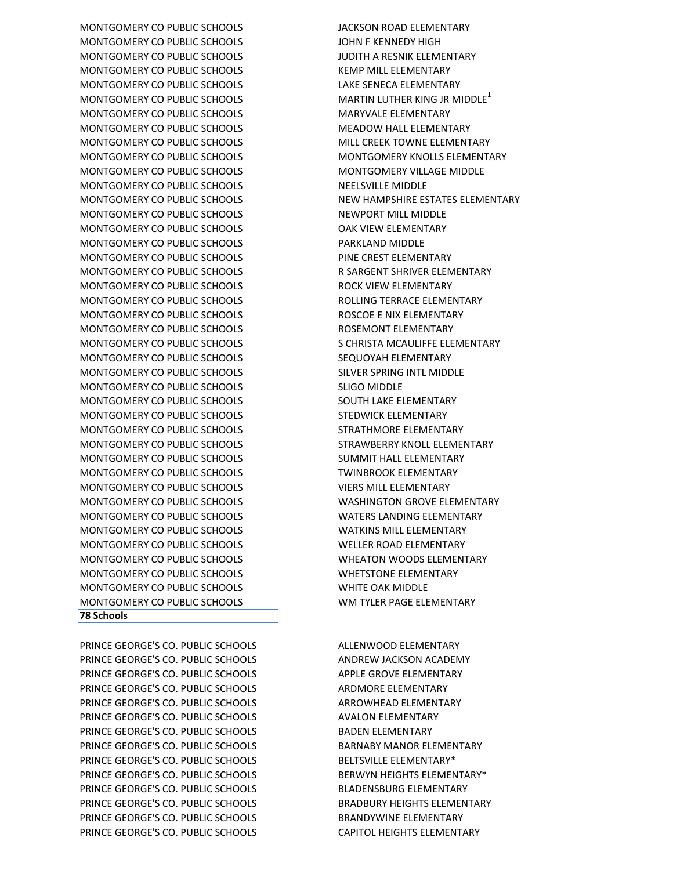PRINCE GEORGE'S CO. PUBLIC SCHOOLS ALLENWOOD ELEMENTARY PRINCE GEORGE'S CO. PUBLIC SCHOOLS ANDREW JACKSON ACADEMY PRINCE GEORGE'S CO. PUBLIC SCHOOLS APPLE GROVE ELEMENTARY PRINCE GEORGE'S CO. PUBLIC SCHOOLS ARDMORE ELEMENTARY PRINCE GEORGE'S CO. PUBLIC SCHOOLS ARROWHEAD ELEMENTARY PRINCE GEORGE'S CO. PUBLIC SCHOOLS AVALON ELEMENTARY PRINCE GEORGE'S CO. PUBLIC SCHOOLS BADEN ELEMENTARY PRINCE GEORGE'S CO. PUBLIC SCHOOLS BARNABY MANOR ELEMENTARY PRINCE GEORGE'S CO. PUBLIC SCHOOLS BELTSVILLE ELEMENTARY\* PRINCE GEORGE'S CO. PUBLIC SCHOOLS BERWYN HEIGHTS ELEMENTARY\* PRINCE GEORGE'S CO. PUBLIC SCHOOLS BLADENSBURG ELEMENTARY PRINCE GEORGE'S CO. PUBLIC SCHOOLS BRADBURY HEIGHTS ELEMENTARY PRINCE GEORGE'S CO. PUBLIC SCHOOLS BRANDYWINE ELEMENTARY PRINCE GEORGE'S CO. PUBLIC SCHOOLS CAPITOL HEIGHTS ELEMENTARY

## **78 Schools**

MONTGOMERY CO PUBLIC SCHOOLS JACKSON ROAD ELEMENTARY MONTGOMERY CO PUBLIC SCHOOLS JOHN F KENNEDY HIGH MONTGOMERY CO PUBLIC SCHOOLS JUDITH A RESNIK ELEMENTARY MONTGOMERY CO PUBLIC SCHOOLS **A CONTROLL SCHOOLS** KEMP MILL ELEMENTARY MONTGOMERY CO PUBLIC SCHOOLS LAKE SENECA ELEMENTARY MONTGOMERY CO PUBLIC SCHOOLS MARTIN LUTHER KING JR MIDDLE<sup>1</sup> MONTGOMERY CO PUBLIC SCHOOLS MARYVALE ELEMENTARY MONTGOMERY CO PUBLIC SCHOOLS **A THE MEADOW HALL ELEMENTARY** MONTGOMERY CO PUBLIC SCHOOLS MILL CREEK TOWNE ELEMENTARY MONTGOMERY CO PUBLIC SCHOOLS MONTGOMERY KNOLLS ELEMENTARY MONTGOMERY CO PUBLIC SCHOOLS MONTGOMERY VILLAGE MIDDLE MONTGOMERY CO PUBLIC SCHOOLS NEELSVILLE MIDDLE MONTGOMERY CO PUBLIC SCHOOLS NEW HAMPSHIRE ESTATES ELEMENTARY MONTGOMERY CO PUBLIC SCHOOLS NEWPORT MILL MIDDLE MONTGOMERY CO PUBLIC SCHOOLS OAK VIEW ELEMENTARY MONTGOMERY CO PUBLIC SCHOOLS PARKLAND MIDDLE MONTGOMERY CO PUBLIC SCHOOLS PINE CREST ELEMENTARY MONTGOMERY CO PUBLIC SCHOOLS **RESERVER SARGENT SHRIVER ELEMENTARY** MONTGOMERY CO PUBLIC SCHOOLS ROCK VIEW ELEMENTARY MONTGOMERY CO PUBLIC SCHOOLS ROLLING TERRACE ELEMENTARY MONTGOMERY CO PUBLIC SCHOOLS ROSCOE E NIX ELEMENTARY MONTGOMERY CO PUBLIC SCHOOLS ROSEMONT ELEMENTARY MONTGOMERY CO PUBLIC SCHOOLS SECHASE AND SAMILLE SCHRISTA MCAULIFFE ELEMENTARY MONTGOMERY CO PUBLIC SCHOOLS SEQUOYAH ELEMENTARY MONTGOMERY CO PUBLIC SCHOOLS SILVER SPRING INTL MIDDLE MONTGOMERY CO PUBLIC SCHOOLS SLIGO MIDDLE MONTGOMERY CO PUBLIC SCHOOLS SOUTH LAKE ELEMENTARY MONTGOMERY CO PUBLIC SCHOOLS STEDWICK ELEMENTARY MONTGOMERY CO PUBLIC SCHOOLS STRATHMORE ELEMENTARY MONTGOMERY CO PUBLIC SCHOOLS STRAWBERRY KNOLL ELEMENTARY MONTGOMERY CO PUBLIC SCHOOLS SUMMIT HALL ELEMENTARY MONTGOMERY CO PUBLIC SCHOOLS TWINBROOK ELEMENTARY MONTGOMERY CO PUBLIC SCHOOLS VIERS MILL ELEMENTARY MONTGOMERY CO PUBLIC SCHOOLS WASHINGTON GROVE ELEMENTARY MONTGOMERY CO PUBLIC SCHOOLS WATERS LANDING ELEMENTARY MONTGOMERY CO PUBLIC SCHOOLS WATKINS MILL ELEMENTARY MONTGOMERY CO PUBLIC SCHOOLS WELLER ROAD ELEMENTARY MONTGOMERY CO PUBLIC SCHOOLS WHEATON WOODS ELEMENTARY MONTGOMERY CO PUBLIC SCHOOLS WHETSTONE ELEMENTARY MONTGOMERY CO PUBLIC SCHOOLS WHITE OAK MIDDLE MONTGOMERY CO PUBLIC SCHOOLS WM TYLER PAGE ELEMENTARY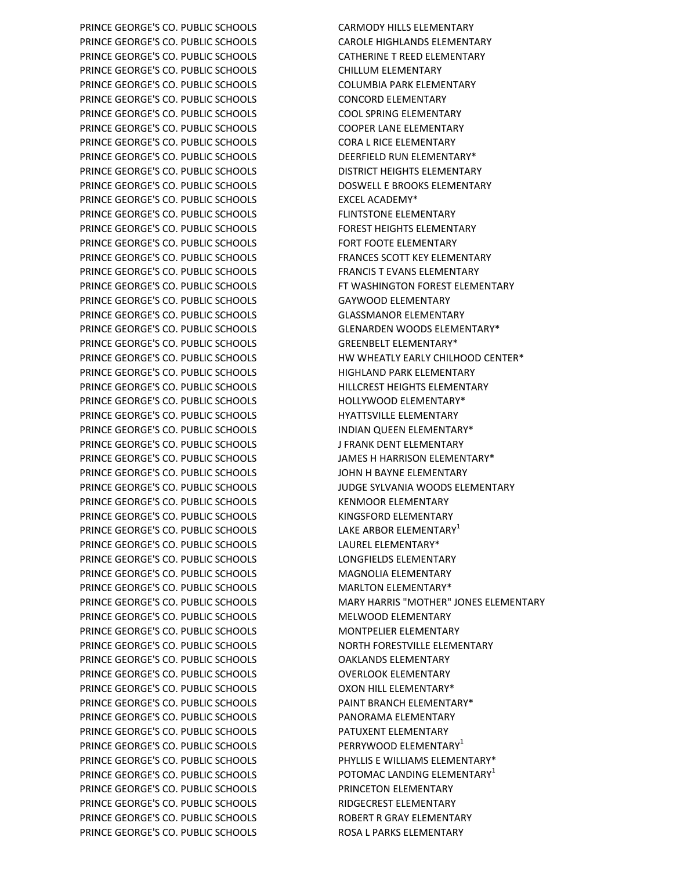PRINCE GEORGE'S CO. PUBLIC SCHOOLS CARMODY HILLS ELEMENTARY PRINCE GEORGE'S CO. PUBLIC SCHOOLS CAROLE HIGHLANDS ELEMENTARY PRINCE GEORGE'S CO. PUBLIC SCHOOLS CATHERINE T REED ELEMENTARY PRINCE GEORGE'S CO. PUBLIC SCHOOLS CHILLUM ELEMENTARY PRINCE GEORGE'S CO. PUBLIC SCHOOLS COLUMBIA PARK ELEMENTARY PRINCE GEORGE'S CO. PUBLIC SCHOOLS CONCORD ELEMENTARY PRINCE GEORGE'S CO. PUBLIC SCHOOLS COOL SPRING ELEMENTARY PRINCE GEORGE'S CO. PUBLIC SCHOOLS COOPER LANE ELEMENTARY PRINCE GEORGE'S CO. PUBLIC SCHOOLS CORA L RICE ELEMENTARY PRINCE GEORGE'S CO. PUBLIC SCHOOLS DEERFIELD RUN ELEMENTARY\* PRINCE GEORGE'S CO. PUBLIC SCHOOLS DISTRICT HEIGHTS ELEMENTARY PRINCE GEORGE'S CO. PUBLIC SCHOOLS DOSWELL E BROOKS ELEMENTARY PRINCE GEORGE'S CO. PUBLIC SCHOOLS EXCEL ACADEMY\* PRINCE GEORGE'S CO. PUBLIC SCHOOLS FLINTSTONE ELEMENTARY PRINCE GEORGE'S CO. PUBLIC SCHOOLS FOREST HEIGHTS ELEMENTARY PRINCE GEORGE'S CO. PUBLIC SCHOOLS FORT FOOTE ELEMENTARY PRINCE GEORGE'S CO. PUBLIC SCHOOLS FRANCES SCOTT KEY ELEMENTARY PRINCE GEORGE'S CO. PUBLIC SCHOOLS FRANCIS T EVANS ELEMENTARY PRINCE GEORGE'S CO. PUBLIC SCHOOLS FT WASHINGTON FOREST ELEMENTARY PRINCE GEORGE'S CO. PUBLIC SCHOOLS GAYWOOD ELEMENTARY PRINCE GEORGE'S CO. PUBLIC SCHOOLS GLASSMANOR ELEMENTARY PRINCE GEORGE'S CO. PUBLIC SCHOOLS GLENARDEN WOODS ELEMENTARY\* PRINCE GEORGE'S CO. PUBLIC SCHOOLS GREENBELT ELEMENTARY\* PRINCE GEORGE'S CO. PUBLIC SCHOOLS HIGHLAND PARK ELEMENTARY PRINCE GEORGE'S CO. PUBLIC SCHOOLS **HILLCREST HEIGHTS ELEMENTARY** PRINCE GEORGE'S CO. PUBLIC SCHOOLS FOR THOLLYWOOD ELEMENTARY\* PRINCE GEORGE'S CO. PUBLIC SCHOOLS THE HYATTSVILLE ELEMENTARY PRINCE GEORGE'S CO. PUBLIC SCHOOLS INDIAN QUEEN ELEMENTARY\* PRINCE GEORGE'S CO. PUBLIC SCHOOLS J FRANK DENT ELEMENTARY PRINCE GEORGE'S CO. PUBLIC SCHOOLS JAMES H HARRISON ELEMENTARY\* PRINCE GEORGE'S CO. PUBLIC SCHOOLS **FOR SCHOOLS** JOHN H BAYNE ELEMENTARY PRINCE GEORGE'S CO. PUBLIC SCHOOLS JUDGE SYLVANIA WOODS ELEMENTARY PRINCE GEORGE'S CO. PUBLIC SCHOOLS KENMOOR ELEMENTARY PRINCE GEORGE'S CO. PUBLIC SCHOOLS KINGSFORD ELEMENTARY PRINCE GEORGE'S CO. PUBLIC SCHOOLS LAKE ARBOR ELEMENTARY<sup>1</sup> PRINCE GEORGE'S CO. PUBLIC SCHOOLS LAUREL ELEMENTARY\* PRINCE GEORGE'S CO. PUBLIC SCHOOLS LONGFIELDS ELEMENTARY PRINCE GEORGE'S CO. PUBLIC SCHOOLS MAGNOLIA ELEMENTARY PRINCE GEORGE'S CO. PUBLIC SCHOOLS MARLTON ELEMENTARY\* PRINCE GEORGE'S CO. PUBLIC SCHOOLS MELWOOD ELEMENTARY PRINCE GEORGE'S CO. PUBLIC SCHOOLS MONTPELIER ELEMENTARY PRINCE GEORGE'S CO. PUBLIC SCHOOLS NORTH FORESTVILLE ELEMENTARY PRINCE GEORGE'S CO. PUBLIC SCHOOLS **OAKLANDS ELEMENTARY** PRINCE GEORGE'S CO. PUBLIC SCHOOLS **OVERLOOK ELEMENTARY** PRINCE GEORGE'S CO. PUBLIC SCHOOLS OXON HILL ELEMENTARY\* PRINCE GEORGE'S CO. PUBLIC SCHOOLS PAINT BRANCH ELEMENTARY\* PRINCE GEORGE'S CO. PUBLIC SCHOOLS PANORAMA ELEMENTARY PRINCE GEORGE'S CO. PUBLIC SCHOOLS PATUXENT ELEMENTARY PRINCE GEORGE'S CO. PUBLIC SCHOOLS PERRYWOOD ELEMENTARY PRINCE GEORGE'S CO. PUBLIC SCHOOLS PHYLLIS E WILLIAMS ELEMENTARY\* PRINCE GEORGE'S CO. PUBLIC SCHOOLS POTOMAC LANDING ELEMENTARY<sup>1</sup> PRINCE GEORGE'S CO. PUBLIC SCHOOLS PRINCETON ELEMENTARY PRINCE GEORGE'S CO. PUBLIC SCHOOLS RIDGECREST ELEMENTARY PRINCE GEORGE'S CO. PUBLIC SCHOOLS ROBERT R GRAY ELEMENTARY PRINCE GEORGE'S CO. PUBLIC SCHOOLS THE ROSA L PARKS ELEMENTARY

PRINCE GEORGE'S CO. PUBLIC SCHOOLS HW WHEATLY EARLY CHILHOOD CENTER\* PRINCE GEORGE'S CO. PUBLIC SCHOOLS MARY HARRIS "MOTHER" JONES ELEMENTARY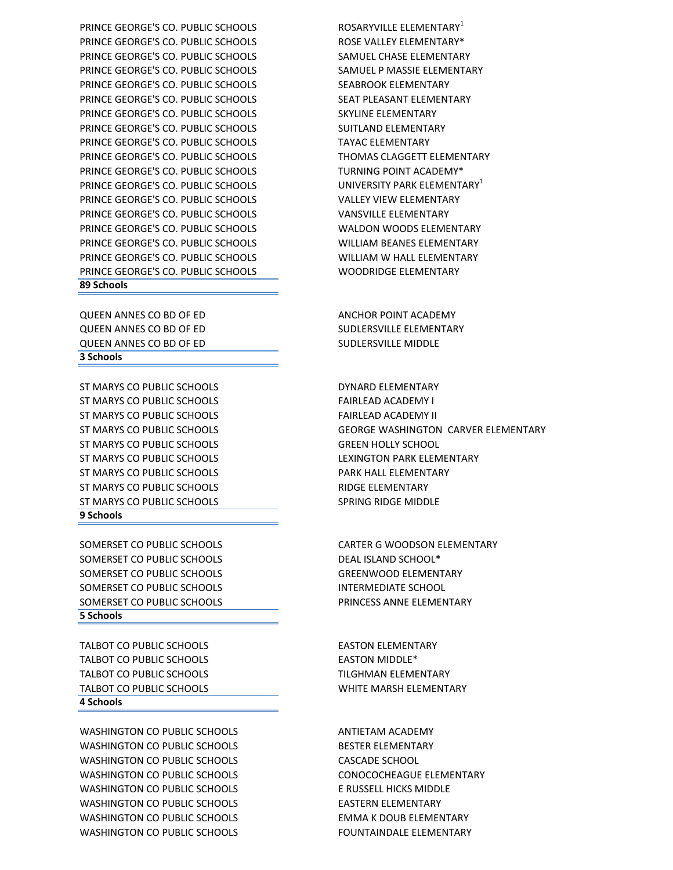WASHINGTON CO PUBLIC SCHOOLS BESTER FLEMENTARY WASHINGTON CO PUBLIC SCHOOLS CASCADE SCHOOL WASHINGTON CO PUBLIC SCHOOLS CONOCOCHEAGUE ELEMENTARY WASHINGTON CO PUBLIC SCHOOLS ENDING THE RUSSELL HICKS MIDDLE WASHINGTON CO PUBLIC SCHOOLS **EASTER BLEMENTARY** WASHINGTON CO PUBLIC SCHOOLS **EMMA K DOUB ELEMENTARY** WASHINGTON CO PUBLIC SCHOOLS FOUNTAINDALE ELEMENTARY

TALBOT CO PUBLIC SCHOOLS EASTON ELEMENTARY TALBOT CO PUBLIC SCHOOLS EASTON MIDDLE\* TALBOT CO PUBLIC SCHOOLS TALBOT CO PUBLIC SCHOOLS TALBOT CO PUBLIC SCHOOLS WHITE MARSH ELEMENTARY **4 Schools**

SOMERSET CO PUBLIC SCHOOLS CARTER G WOODSON ELEMENTARY SOMERSET CO PUBLIC SCHOOLS DEAL ISLAND SCHOOL\* SOMERSET CO PUBLIC SCHOOLS GREENWOOD ELEMENTARY SOMERSET CO PUBLIC SCHOOLS **INTERMEDIATE SCHOOL** SOMERSET CO PUBLIC SCHOOLS **EXECUTE A PRINCESS ANNE ELEMENTARY 5 Schools**

**9 Schools**

ST MARYS CO PUBLIC SCHOOLS **CONTRACT CONTRACT CONTRACT CONTRACT CONTRACT CONTRACT CONTRACT CONTRACT CONTRACT CONTRACT CONTRACT CONTRACT CONTRACT CONTRACT CONTRACT CONTRACT CONTRACT CONTRACT CONTRACT CONTRACT CONTRACT CONTR** ST MARYS CO PUBLIC SCHOOLS FAIRLEAD ACADEMY I ST MARYS CO PUBLIC SCHOOLS FAIRLEAD ACADEMY II ST MARYS CO PUBLIC SCHOOLS GREEN HOLLY SCHOOL ST MARYS CO PUBLIC SCHOOLS LEXINGTON PARK ELEMENTARY ST MARYS CO PUBLIC SCHOOLS **EXECUTE A PARK HALL ELEMENTARY** ST MARYS CO PUBLIC SCHOOLS **EXECUTE A SECURE A RIDGE ELEMENTARY** ST MARYS CO PUBLIC SCHOOLS SPRING RIDGE MIDDLE

QUEEN ANNES CO BD OF ED SUDLERSVILLE MIDDLE **3 Schools**

**89 Schools**

PRINCE GEORGE'S CO. PUBLIC SCHOOLS ROSE VALLEY ELEMENTARY\* PRINCE GEORGE'S CO. PUBLIC SCHOOLS SAMUEL CHASE ELEMENTARY PRINCE GEORGE'S CO. PUBLIC SCHOOLS SAMUEL P MASSIE ELEMENTARY PRINCE GEORGE'S CO. PUBLIC SCHOOLS SEABROOK ELEMENTARY PRINCE GEORGE'S CO. PUBLIC SCHOOLS SEAT PLEASANT ELEMENTARY PRINCE GEORGE'S CO. PUBLIC SCHOOLS SKYLINE ELEMENTARY PRINCE GEORGE'S CO. PUBLIC SCHOOLS SUITLAND ELEMENTARY PRINCE GEORGE'S CO. PUBLIC SCHOOLS TAYAC ELEMENTARY PRINCE GEORGE'S CO. PUBLIC SCHOOLS THOMAS CLAGGETT ELEMENTARY PRINCE GEORGE'S CO. PUBLIC SCHOOLS TURNING POINT ACADEMY\* PRINCE GEORGE'S CO. PUBLIC SCHOOLS UNIVERSITY PARK ELEMENTARY<sup>1</sup> PRINCE GEORGE'S CO. PUBLIC SCHOOLS VALLEY VIEW ELEMENTARY PRINCE GEORGE'S CO. PUBLIC SCHOOLS VANSVILLE ELEMENTARY PRINCE GEORGE'S CO. PUBLIC SCHOOLS WALDON WOODS ELEMENTARY PRINCE GEORGE'S CO. PUBLIC SCHOOLS WILLIAM BEANES ELEMENTARY PRINCE GEORGE'S CO. PUBLIC SCHOOLS WILLIAM W HALL ELEMENTARY

PRINCE GEORGE'S CO. PUBLIC SCHOOLS THE ROSARYVILLE ELEMENTARY

WASHINGTON CO PUBLIC SCHOOLS ANTIETAM ACADEMY

ST MARYS CO PUBLIC SCHOOLS GEORGE WASHINGTON CARVER ELEMENTARY

QUEEN ANNES CO BD OF ED ANCHOR POINT ACADEMY QUEEN ANNES CO BD OF ED SUDLERSVILLE ELEMENTARY

PRINCE GEORGE'S CO. PUBLIC SCHOOLS WOODRIDGE ELEMENTARY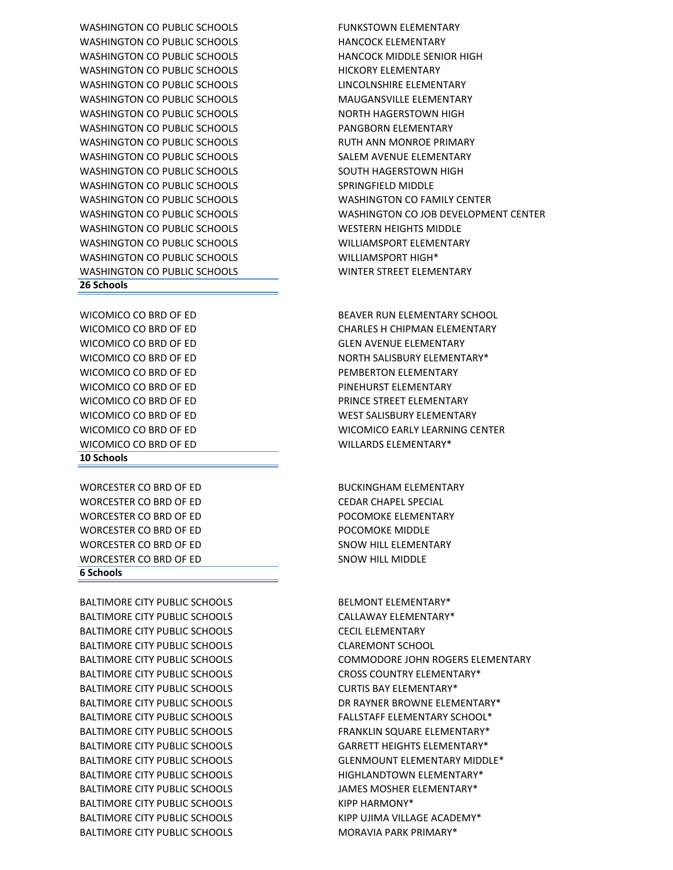BALTIMORE CITY PUBLIC SCHOOLS CALLAWAY ELEMENTARY\* BALTIMORE CITY PUBLIC SCHOOLS CECIL ELEMENTARY BALTIMORE CITY PUBLIC SCHOOLS CLAREMONT SCHOOL BALTIMORE CITY PUBLIC SCHOOLS CROSS COUNTRY ELEMENTARY\* BALTIMORE CITY PUBLIC SCHOOLS CURTIS BAY ELEMENTARY\* BALTIMORE CITY PUBLIC SCHOOLS FALLSTAFF ELEMENTARY SCHOOL\* BALTIMORE CITY PUBLIC SCHOOLS FRANKLIN SOUARE ELEMENTARY\* BALTIMORE CITY PUBLIC SCHOOLS GARRETT HEIGHTS ELEMENTARY\* BALTIMORE CITY PUBLIC SCHOOLS THE HIGHLANDTOWN ELEMENTARY\* BALTIMORE CITY PUBLIC SCHOOLS **ALL SEEMINGS IN STATE AND STATE ASSESS** JAMES MOSHER ELEMENTARY\* BALTIMORE CITY PUBLIC SCHOOLS KIPP HARMONY\* BALTIMORE CITY PUBLIC SCHOOLS THE RESERVED BALTIMORE ACADEMY\* BALTIMORE CITY PUBLIC SCHOOLS MORAVIA PARK PRIMARY\*

BALTIMORE CITY PUBLIC SCHOOLS BELMONT ELEMENTARY\*

WORCESTER CO BRD OF ED BUCKINGHAM ELEMENTARY WORCESTER CO BRD OF ED CEDAR CHAPEL SPECIAL WORCESTER CO BRD OF ED **POCOMOKE ELEMENTARY** WORCESTER CO BRD OF ED **POCOMOKE MIDDLE** WORCESTER CO BRD OF ED SNOW HILL ELEMENTARY WORCESTER CO BRD OF ED SNOW HILL MIDDLE **6 Schools** 

#### **10 Schools**

WICOMICO CO BRD OF ED BEAVER RUN ELEMENTARY SCHOOL WICOMICO CO BRD OF ED CHARLES H CHIPMAN ELEMENTARY WICOMICO CO BRD OF ED **Example 20 Service CONDUCT AND ACCOUNT PEMBERTON FLEMENTARY** WICOMICO CO BRD OF ED **ACCESSION CONFIDENT CONTACT AND ACCESS PINEHURST ELEMENTARY** WICOMICO CO BRD OF ED WILLARDS ELEMENTARY\*

#### **26 Schools**

WASHINGTON CO PUBLIC SCHOOLS FUNKSTOWN ELEMENTARY WASHINGTON CO PUBLIC SCHOOLS **HANCOCK ELEMENTARY** WASHINGTON CO PUBLIC SCHOOLS **HANCOCK MIDDLE SENIOR HIGH** WASHINGTON CO PUBLIC SCHOOLS THICKORY ELEMENTARY WASHINGTON CO PUBLIC SCHOOLS LINCOLNSHIRE ELEMENTARY WASHINGTON CO PUBLIC SCHOOLS MAUGANSVILLE FLEMENTARY WASHINGTON CO PUBLIC SCHOOLS NORTH HAGERSTOWN HIGH WASHINGTON CO PUBLIC SCHOOLS **EXAMPLE A PANGBORN ELEMENTARY** WASHINGTON CO PUBLIC SCHOOLS **EXAMPLE AND RUTH ANN MONROE PRIMARY** WASHINGTON CO PUBLIC SCHOOLS SALEM AVENUE ELEMENTARY WASHINGTON CO PUBLIC SCHOOLS SOUTH HAGERSTOWN HIGH WASHINGTON CO PUBLIC SCHOOLS SPRINGFIELD MIDDLE WASHINGTON CO PUBLIC SCHOOLS WASHINGTON CO FAMILY CENTER WASHINGTON CO PUBLIC SCHOOLS WESTERN HEIGHTS MIDDLE WASHINGTON CO PUBLIC SCHOOLS WILLIAMSPORT ELEMENTARY WASHINGTON CO PUBLIC SCHOOLS WILLIAMSPORT HIGH<sup>\*</sup> WASHINGTON CO PUBLIC SCHOOLS WINTER STREET ELEMENTARY

BALTIMORE CITY PUBLIC SCHOOLS COMMODORE JOHN ROGERS ELEMENTARY BALTIMORE CITY PUBLIC SCHOOLS THE DR RAYNER BROWNE ELEMENTARY\* BALTIMORE CITY PUBLIC SCHOOLS GLENMOUNT ELEMENTARY MIDDLE\*

WICOMICO CO BRD OF ED GLEN AVENUE ELEMENTARY WICOMICO CO BRD OF ED NORTH SALISBURY ELEMENTARY\* WICOMICO CO BRD OF ED **EXAMPLE STREET ELEMENTARY PRINCE STREET ELEMENTARY** WICOMICO CO BRD OF ED WEST SALISBURY ELEMENTARY WICOMICO CO BRD OF ED WICOMICO EARLY LEARNING CENTER

WASHINGTON CO PUBLIC SCHOOLS WASHINGTON CO JOB DEVELOPMENT CENTER